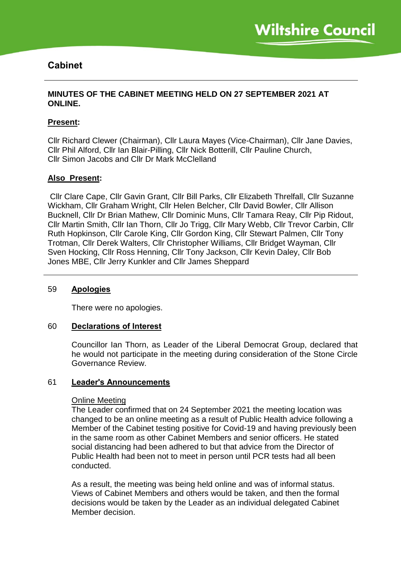# **Cabinet**

# **MINUTES OF THE CABINET MEETING HELD ON 27 SEPTEMBER 2021 AT ONLINE.**

# **Present:**

Cllr Richard Clewer (Chairman), Cllr Laura Mayes (Vice-Chairman), Cllr Jane Davies, Cllr Phil Alford, Cllr Ian Blair-Pilling, Cllr Nick Botterill, Cllr Pauline Church, Cllr Simon Jacobs and Cllr Dr Mark McClelland

# **Also Present:**

Cllr Clare Cape, Cllr Gavin Grant, Cllr Bill Parks, Cllr Elizabeth Threlfall, Cllr Suzanne Wickham, Cllr Graham Wright, Cllr Helen Belcher, Cllr David Bowler, Cllr Allison Bucknell, Cllr Dr Brian Mathew, Cllr Dominic Muns, Cllr Tamara Reay, Cllr Pip Ridout, Cllr Martin Smith, Cllr Ian Thorn, Cllr Jo Trigg, Cllr Mary Webb, Cllr Trevor Carbin, Cllr Ruth Hopkinson, Cllr Carole King, Cllr Gordon King, Cllr Stewart Palmen, Cllr Tony Trotman, Cllr Derek Walters, Cllr Christopher Williams, Cllr Bridget Wayman, Cllr Sven Hocking, Cllr Ross Henning, Cllr Tony Jackson, Cllr Kevin Daley, Cllr Bob Jones MBE, Cllr Jerry Kunkler and Cllr James Sheppard

# 59 **Apologies**

There were no apologies.

#### 60 **Declarations of Interest**

Councillor Ian Thorn, as Leader of the Liberal Democrat Group, declared that he would not participate in the meeting during consideration of the Stone Circle Governance Review.

# 61 **Leader's Announcements**

#### Online Meeting

The Leader confirmed that on 24 September 2021 the meeting location was changed to be an online meeting as a result of Public Health advice following a Member of the Cabinet testing positive for Covid-19 and having previously been in the same room as other Cabinet Members and senior officers. He stated social distancing had been adhered to but that advice from the Director of Public Health had been not to meet in person until PCR tests had all been conducted.

As a result, the meeting was being held online and was of informal status. Views of Cabinet Members and others would be taken, and then the formal decisions would be taken by the Leader as an individual delegated Cabinet Member decision.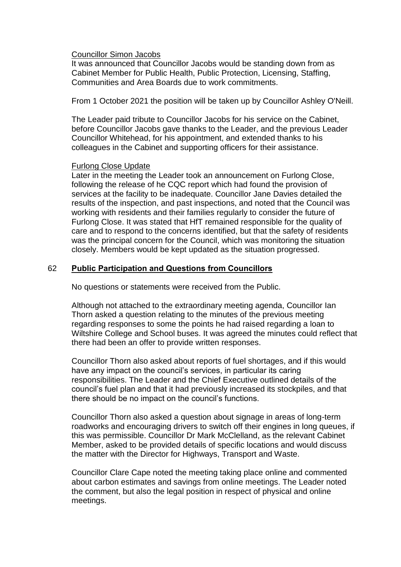### Councillor Simon Jacobs

It was announced that Councillor Jacobs would be standing down from as Cabinet Member for Public Health, Public Protection, Licensing, Staffing, Communities and Area Boards due to work commitments.

From 1 October 2021 the position will be taken up by Councillor Ashley O'Neill.

The Leader paid tribute to Councillor Jacobs for his service on the Cabinet, before Councillor Jacobs gave thanks to the Leader, and the previous Leader Councillor Whitehead, for his appointment, and extended thanks to his colleagues in the Cabinet and supporting officers for their assistance.

### Furlong Close Update

Later in the meeting the Leader took an announcement on Furlong Close, following the release of he CQC report which had found the provision of services at the facility to be inadequate. Councillor Jane Davies detailed the results of the inspection, and past inspections, and noted that the Council was working with residents and their families regularly to consider the future of Furlong Close. It was stated that HfT remained responsible for the quality of care and to respond to the concerns identified, but that the safety of residents was the principal concern for the Council, which was monitoring the situation closely. Members would be kept updated as the situation progressed.

# 62 **Public Participation and Questions from Councillors**

No questions or statements were received from the Public.

Although not attached to the extraordinary meeting agenda, Councillor Ian Thorn asked a question relating to the minutes of the previous meeting regarding responses to some the points he had raised regarding a loan to Wiltshire College and School buses. It was agreed the minutes could reflect that there had been an offer to provide written responses.

Councillor Thorn also asked about reports of fuel shortages, and if this would have any impact on the council's services, in particular its caring responsibilities. The Leader and the Chief Executive outlined details of the council's fuel plan and that it had previously increased its stockpiles, and that there should be no impact on the council's functions.

Councillor Thorn also asked a question about signage in areas of long-term roadworks and encouraging drivers to switch off their engines in long queues, if this was permissible. Councillor Dr Mark McClelland, as the relevant Cabinet Member, asked to be provided details of specific locations and would discuss the matter with the Director for Highways, Transport and Waste.

Councillor Clare Cape noted the meeting taking place online and commented about carbon estimates and savings from online meetings. The Leader noted the comment, but also the legal position in respect of physical and online meetings.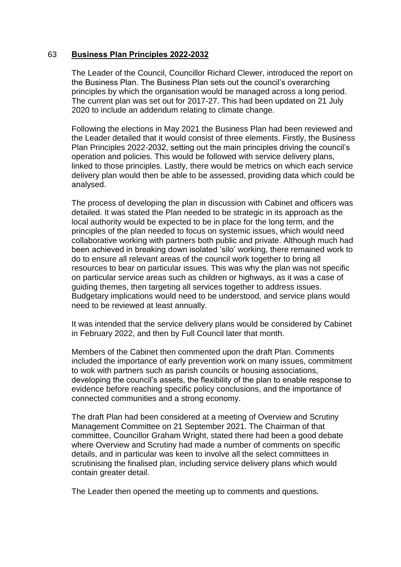### 63 **Business Plan Principles 2022-2032**

The Leader of the Council, Councillor Richard Clewer, introduced the report on the Business Plan. The Business Plan sets out the council's overarching principles by which the organisation would be managed across a long period. The current plan was set out for 2017-27. This had been updated on 21 July 2020 to include an addendum relating to climate change.

Following the elections in May 2021 the Business Plan had been reviewed and the Leader detailed that it would consist of three elements. Firstly, the Business Plan Principles 2022-2032, setting out the main principles driving the council's operation and policies. This would be followed with service delivery plans, linked to those principles. Lastly, there would be metrics on which each service delivery plan would then be able to be assessed, providing data which could be analysed.

The process of developing the plan in discussion with Cabinet and officers was detailed. It was stated the Plan needed to be strategic in its approach as the local authority would be expected to be in place for the long term, and the principles of the plan needed to focus on systemic issues, which would need collaborative working with partners both public and private. Although much had been achieved in breaking down isolated 'silo' working, there remained work to do to ensure all relevant areas of the council work together to bring all resources to bear on particular issues. This was why the plan was not specific on particular service areas such as children or highways, as it was a case of guiding themes, then targeting all services together to address issues. Budgetary implications would need to be understood, and service plans would need to be reviewed at least annually.

It was intended that the service delivery plans would be considered by Cabinet in February 2022, and then by Full Council later that month.

Members of the Cabinet then commented upon the draft Plan. Comments included the importance of early prevention work on many issues, commitment to wok with partners such as parish councils or housing associations, developing the council's assets, the flexibility of the plan to enable response to evidence before reaching specific policy conclusions, and the importance of connected communities and a strong economy.

The draft Plan had been considered at a meeting of Overview and Scrutiny Management Committee on 21 September 2021. The Chairman of that committee, Councillor Graham Wright, stated there had been a good debate where Overview and Scrutiny had made a number of comments on specific details, and in particular was keen to involve all the select committees in scrutinising the finalised plan, including service delivery plans which would contain greater detail.

The Leader then opened the meeting up to comments and questions.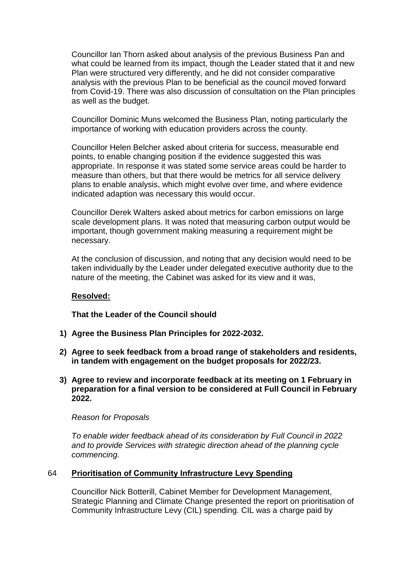Councillor Ian Thorn asked about analysis of the previous Business Pan and what could be learned from its impact, though the Leader stated that it and new Plan were structured very differently, and he did not consider comparative analysis with the previous Plan to be beneficial as the council moved forward from Covid-19. There was also discussion of consultation on the Plan principles as well as the budget.

Councillor Dominic Muns welcomed the Business Plan, noting particularly the importance of working with education providers across the county.

Councillor Helen Belcher asked about criteria for success, measurable end points, to enable changing position if the evidence suggested this was appropriate. In response it was stated some service areas could be harder to measure than others, but that there would be metrics for all service delivery plans to enable analysis, which might evolve over time, and where evidence indicated adaption was necessary this would occur.

Councillor Derek Walters asked about metrics for carbon emissions on large scale development plans. It was noted that measuring carbon output would be important, though government making measuring a requirement might be necessary.

At the conclusion of discussion, and noting that any decision would need to be taken individually by the Leader under delegated executive authority due to the nature of the meeting, the Cabinet was asked for its view and it was,

#### **Resolved:**

**That the Leader of the Council should**

- **1) Agree the Business Plan Principles for 2022-2032.**
- **2) Agree to seek feedback from a broad range of stakeholders and residents, in tandem with engagement on the budget proposals for 2022/23.**
- **3) Agree to review and incorporate feedback at its meeting on 1 February in preparation for a final version to be considered at Full Council in February 2022.**

#### *Reason for Proposals*

*To enable wider feedback ahead of its consideration by Full Council in 2022 and to provide Services with strategic direction ahead of the planning cycle commencing.* 

#### 64 **Prioritisation of Community Infrastructure Levy Spending**

Councillor Nick Botterill, Cabinet Member for Development Management, Strategic Planning and Climate Change presented the report on prioritisation of Community Infrastructure Levy (CIL) spending. CIL was a charge paid by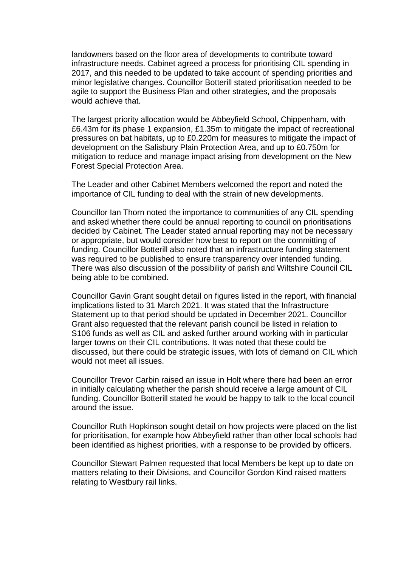landowners based on the floor area of developments to contribute toward infrastructure needs. Cabinet agreed a process for prioritising CIL spending in 2017, and this needed to be updated to take account of spending priorities and minor legislative changes. Councillor Botterill stated prioritisation needed to be agile to support the Business Plan and other strategies, and the proposals would achieve that.

The largest priority allocation would be Abbeyfield School, Chippenham, with £6.43m for its phase 1 expansion, £1.35m to mitigate the impact of recreational pressures on bat habitats, up to £0.220m for measures to mitigate the impact of development on the Salisbury Plain Protection Area, and up to £0.750m for mitigation to reduce and manage impact arising from development on the New Forest Special Protection Area.

The Leader and other Cabinet Members welcomed the report and noted the importance of CIL funding to deal with the strain of new developments.

Councillor Ian Thorn noted the importance to communities of any CIL spending and asked whether there could be annual reporting to council on prioritisations decided by Cabinet. The Leader stated annual reporting may not be necessary or appropriate, but would consider how best to report on the committing of funding. Councillor Botterill also noted that an infrastructure funding statement was required to be published to ensure transparency over intended funding. There was also discussion of the possibility of parish and Wiltshire Council CIL being able to be combined.

Councillor Gavin Grant sought detail on figures listed in the report, with financial implications listed to 31 March 2021. It was stated that the Infrastructure Statement up to that period should be updated in December 2021. Councillor Grant also requested that the relevant parish council be listed in relation to S106 funds as well as CIL and asked further around working with in particular larger towns on their CIL contributions. It was noted that these could be discussed, but there could be strategic issues, with lots of demand on CIL which would not meet all issues.

Councillor Trevor Carbin raised an issue in Holt where there had been an error in initially calculating whether the parish should receive a large amount of CIL funding. Councillor Botterill stated he would be happy to talk to the local council around the issue.

Councillor Ruth Hopkinson sought detail on how projects were placed on the list for prioritisation, for example how Abbeyfield rather than other local schools had been identified as highest priorities, with a response to be provided by officers.

Councillor Stewart Palmen requested that local Members be kept up to date on matters relating to their Divisions, and Councillor Gordon Kind raised matters relating to Westbury rail links.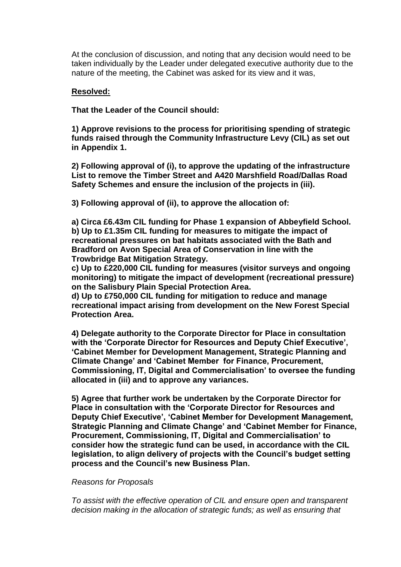At the conclusion of discussion, and noting that any decision would need to be taken individually by the Leader under delegated executive authority due to the nature of the meeting, the Cabinet was asked for its view and it was,

### **Resolved:**

**That the Leader of the Council should:**

**1) Approve revisions to the process for prioritising spending of strategic funds raised through the Community Infrastructure Levy (CIL) as set out in Appendix 1.**

**2) Following approval of (i), to approve the updating of the infrastructure List to remove the Timber Street and A420 Marshfield Road/Dallas Road Safety Schemes and ensure the inclusion of the projects in (iii).**

**3) Following approval of (ii), to approve the allocation of:**

**a) Circa £6.43m CIL funding for Phase 1 expansion of Abbeyfield School. b) Up to £1.35m CIL funding for measures to mitigate the impact of recreational pressures on bat habitats associated with the Bath and Bradford on Avon Special Area of Conservation in line with the Trowbridge Bat Mitigation Strategy.**

**c) Up to £220,000 CIL funding for measures (visitor surveys and ongoing monitoring) to mitigate the impact of development (recreational pressure) on the Salisbury Plain Special Protection Area.**

**d) Up to £750,000 CIL funding for mitigation to reduce and manage recreational impact arising from development on the New Forest Special Protection Area.**

**4) Delegate authority to the Corporate Director for Place in consultation with the 'Corporate Director for Resources and Deputy Chief Executive', 'Cabinet Member for Development Management, Strategic Planning and Climate Change' and 'Cabinet Member for Finance, Procurement, Commissioning, IT, Digital and Commercialisation' to oversee the funding allocated in (iii) and to approve any variances.**

**5) Agree that further work be undertaken by the Corporate Director for Place in consultation with the 'Corporate Director for Resources and Deputy Chief Executive', 'Cabinet Member for Development Management, Strategic Planning and Climate Change' and 'Cabinet Member for Finance, Procurement, Commissioning, IT, Digital and Commercialisation' to consider how the strategic fund can be used, in accordance with the CIL legislation, to align delivery of projects with the Council's budget setting process and the Council's new Business Plan.**

#### *Reasons for Proposals*

*To assist with the effective operation of CIL and ensure open and transparent decision making in the allocation of strategic funds; as well as ensuring that*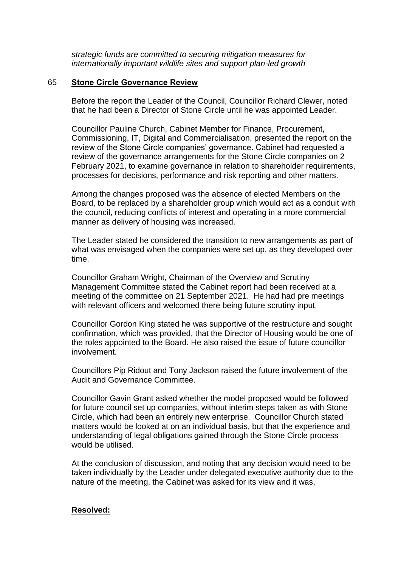*strategic funds are committed to securing mitigation measures for internationally important wildlife sites and support plan-led growth*

### 65 **Stone Circle Governance Review**

Before the report the Leader of the Council, Councillor Richard Clewer, noted that he had been a Director of Stone Circle until he was appointed Leader.

Councillor Pauline Church, Cabinet Member for Finance, Procurement, Commissioning, IT, Digital and Commercialisation, presented the report on the review of the Stone Circle companies' governance. Cabinet had requested a review of the governance arrangements for the Stone Circle companies on 2 February 2021, to examine governance in relation to shareholder requirements, processes for decisions, performance and risk reporting and other matters.

Among the changes proposed was the absence of elected Members on the Board, to be replaced by a shareholder group which would act as a conduit with the council, reducing conflicts of interest and operating in a more commercial manner as delivery of housing was increased.

The Leader stated he considered the transition to new arrangements as part of what was envisaged when the companies were set up, as they developed over time.

Councillor Graham Wright, Chairman of the Overview and Scrutiny Management Committee stated the Cabinet report had been received at a meeting of the committee on 21 September 2021. He had had pre meetings with relevant officers and welcomed there being future scrutiny input.

Councillor Gordon King stated he was supportive of the restructure and sought confirmation, which was provided, that the Director of Housing would be one of the roles appointed to the Board. He also raised the issue of future councillor involvement.

Councillors Pip Ridout and Tony Jackson raised the future involvement of the Audit and Governance Committee.

Councillor Gavin Grant asked whether the model proposed would be followed for future council set up companies, without interim steps taken as with Stone Circle, which had been an entirely new enterprise. Councillor Church stated matters would be looked at on an individual basis, but that the experience and understanding of legal obligations gained through the Stone Circle process would be utilised.

At the conclusion of discussion, and noting that any decision would need to be taken individually by the Leader under delegated executive authority due to the nature of the meeting, the Cabinet was asked for its view and it was,

# **Resolved:**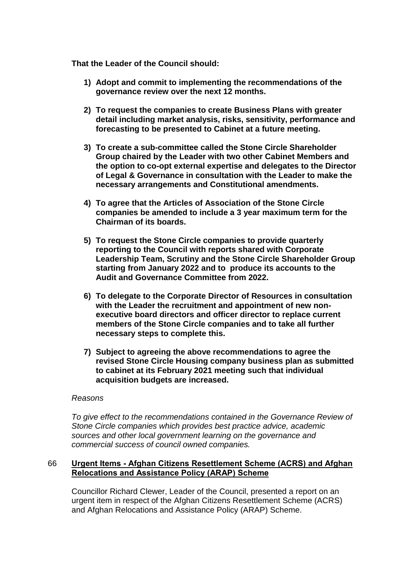**That the Leader of the Council should:**

- **1) Adopt and commit to implementing the recommendations of the governance review over the next 12 months.**
- **2) To request the companies to create Business Plans with greater detail including market analysis, risks, sensitivity, performance and forecasting to be presented to Cabinet at a future meeting.**
- **3) To create a sub-committee called the Stone Circle Shareholder Group chaired by the Leader with two other Cabinet Members and the option to co-opt external expertise and delegates to the Director of Legal & Governance in consultation with the Leader to make the necessary arrangements and Constitutional amendments.**
- **4) To agree that the Articles of Association of the Stone Circle companies be amended to include a 3 year maximum term for the Chairman of its boards.**
- **5) To request the Stone Circle companies to provide quarterly reporting to the Council with reports shared with Corporate Leadership Team, Scrutiny and the Stone Circle Shareholder Group starting from January 2022 and to produce its accounts to the Audit and Governance Committee from 2022.**
- **6) To delegate to the Corporate Director of Resources in consultation with the Leader the recruitment and appointment of new nonexecutive board directors and officer director to replace current members of the Stone Circle companies and to take all further necessary steps to complete this.**
- **7) Subject to agreeing the above recommendations to agree the revised Stone Circle Housing company business plan as submitted to cabinet at its February 2021 meeting such that individual acquisition budgets are increased.**

#### *Reasons*

*To give effect to the recommendations contained in the Governance Review of Stone Circle companies which provides best practice advice, academic sources and other local government learning on the governance and commercial success of council owned companies.*

# 66 **Urgent Items - Afghan Citizens Resettlement Scheme (ACRS) and Afghan Relocations and Assistance Policy (ARAP) Scheme**

Councillor Richard Clewer, Leader of the Council, presented a report on an urgent item in respect of the Afghan Citizens Resettlement Scheme (ACRS) and Afghan Relocations and Assistance Policy (ARAP) Scheme.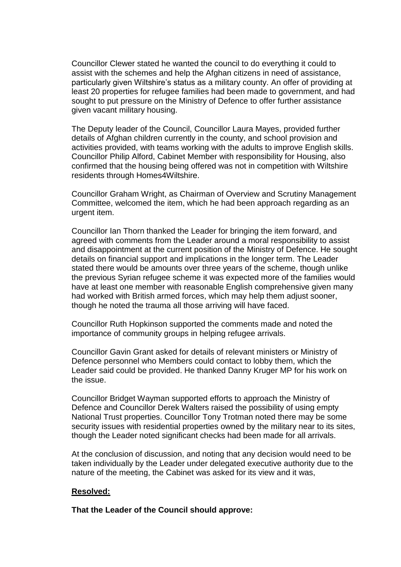Councillor Clewer stated he wanted the council to do everything it could to assist with the schemes and help the Afghan citizens in need of assistance, particularly given Wiltshire's status as a military county. An offer of providing at least 20 properties for refugee families had been made to government, and had sought to put pressure on the Ministry of Defence to offer further assistance given vacant military housing.

The Deputy leader of the Council, Councillor Laura Mayes, provided further details of Afghan children currently in the county, and school provision and activities provided, with teams working with the adults to improve English skills. Councillor Philip Alford, Cabinet Member with responsibility for Housing, also confirmed that the housing being offered was not in competition with Wiltshire residents through Homes4Wiltshire.

Councillor Graham Wright, as Chairman of Overview and Scrutiny Management Committee, welcomed the item, which he had been approach regarding as an urgent item.

Councillor Ian Thorn thanked the Leader for bringing the item forward, and agreed with comments from the Leader around a moral responsibility to assist and disappointment at the current position of the Ministry of Defence. He sought details on financial support and implications in the longer term. The Leader stated there would be amounts over three years of the scheme, though unlike the previous Syrian refugee scheme it was expected more of the families would have at least one member with reasonable English comprehensive given many had worked with British armed forces, which may help them adjust sooner, though he noted the trauma all those arriving will have faced.

Councillor Ruth Hopkinson supported the comments made and noted the importance of community groups in helping refugee arrivals.

Councillor Gavin Grant asked for details of relevant ministers or Ministry of Defence personnel who Members could contact to lobby them, which the Leader said could be provided. He thanked Danny Kruger MP for his work on the issue.

Councillor Bridget Wayman supported efforts to approach the Ministry of Defence and Councillor Derek Walters raised the possibility of using empty National Trust properties. Councillor Tony Trotman noted there may be some security issues with residential properties owned by the military near to its sites, though the Leader noted significant checks had been made for all arrivals.

At the conclusion of discussion, and noting that any decision would need to be taken individually by the Leader under delegated executive authority due to the nature of the meeting, the Cabinet was asked for its view and it was,

#### **Resolved:**

**That the Leader of the Council should approve:**